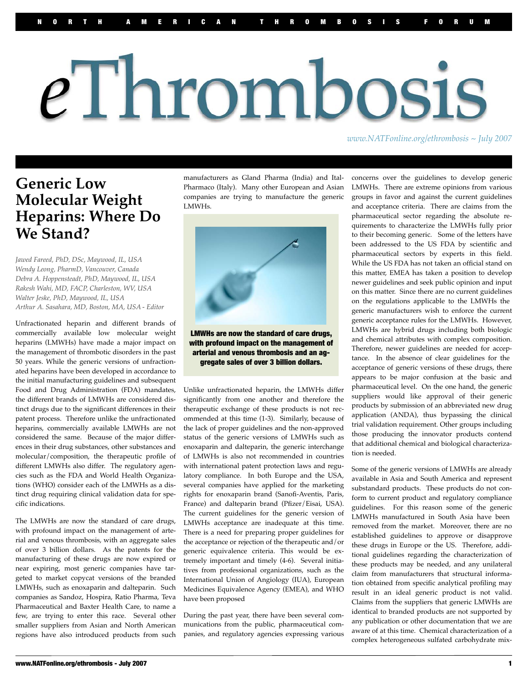# eThrombosis

*www.NATFonline.org/ethrombosis ~ July 2007*

#### **Generic Low Molecular Weight Heparins: Where Do We Stand?**

*Jawed Fareed, PhD, DSc, Maywood, IL, USA Wendy Leong, PharmD, Vancouver, Canada Debra A. Hoppensteadt, PhD, Maywood, IL, USA Rakesh Wahi, MD, FACP, Charleston, WV, USA Walter Jeske, PhD, Maywood, IL, USA Arthur A. Sasahara, MD, Boston, MA, USA - Editor* 

Unfractionated heparin and different brands of commercially available low molecular weight heparins (LMWHs) have made a major impact on the management of thrombotic disorders in the past 50 years. While the generic versions of unfractionated heparins have been developed in accordance to the initial manufacturing guidelines and subsequent Food and Drug Administration (FDA) mandates, the different brands of LMWHs are considered distinct drugs due to the significant differences in their patent process. Therefore unlike the unfractionated heparins, commercially available LMWHs are not considered the same. Because of the major differences in their drug substances, other substances and molecular/composition, the therapeutic profile of different LMWHs also differ. The regulatory agencies such as the FDA and World Health Organizations (WHO) consider each of the LMWHs as a distinct drug requiring clinical validation data for specific indications.

The LMWHs are now the standard of care drugs, with profound impact on the management of arterial and venous thrombosis, with an aggregate sales of over 3 billion dollars. As the patents for the manufacturing of these drugs are now expired or near expiring, most generic companies have targeted to market copycat versions of the branded LMWHs, such as enoxaparin and dalteparin. Such companies as Sandoz, Hospira, Ratio Pharma, Teva Pharmaceutical and Baxter Health Care, to name a few, are trying to enter this race. Several other smaller suppliers from Asian and North American regions have also introduced products from such

manufacturers as Gland Pharma (India) and Ital-Pharmaco (Italy). Many other European and Asian companies are trying to manufacture the generic LMWHs.



LMWHs are now the standard of care drugs, with profound impact on the management of arterial and venous thrombosis and an aggregate sales of over 3 billion dollars.

Unlike unfractionated heparin, the LMWHs differ significantly from one another and therefore the therapeutic exchange of these products is not recommended at this time (1-3). Similarly, because of the lack of proper guidelines and the non-approved status of the generic versions of LMWHs such as enoxaparin and dalteparin, the generic interchange of LMWHs is also not recommended in countries with international patent protection laws and regulatory compliance. In both Europe and the USA, several companies have applied for the marketing rights for enoxaparin brand (Sanofi-Aventis, Paris, France) and dalteparin brand (Pfizer/Eisai, USA). The current guidelines for the generic version of LMWHs acceptance are inadequate at this time. There is a need for preparing proper guidelines for the acceptance or rejection of the therapeutic and/or generic equivalence criteria. This would be extremely important and timely (4-6). Several initiatives from professional organizations, such as the International Union of Angiology (IUA), European Medicines Equivalence Agency (EMEA), and WHO have been proposed

During the past year, there have been several communications from the public, pharmaceutical companies, and regulatory agencies expressing various concerns over the guidelines to develop generic LMWHs. There are extreme opinions from various groups in favor and against the current guidelines and acceptance criteria. There are claims from the pharmaceutical sector regarding the absolute requirements to characterize the LMWHs fully prior to their becoming generic. Some of the letters have been addressed to the US FDA by scientific and pharmaceutical sectors by experts in this field. While the US FDA has not taken an official stand on this matter, EMEA has taken a position to develop newer guidelines and seek public opinion and input on this matter. Since there are no current guidelines on the regulations applicable to the LMWHs the generic manufacturers wish to enforce the current generic acceptance rules for the LMWHs. However, LMWHs are hybrid drugs including both biologic and chemical attributes with complex composition. Therefore, newer guidelines are needed for acceptance. In the absence of clear guidelines for the acceptance of generic versions of these drugs, there appears to be major confusion at the basic and pharmaceutical level. On the one hand, the generic suppliers would like approval of their generic products by submission of an abbreviated new drug application (ANDA), thus bypassing the clinical trial validation requirement. Other groups including those producing the innovator products contend that additional chemical and biological characterization is needed.

Some of the generic versions of LMWHs are already available in Asia and South America and represent substandard products. These products do not conform to current product and regulatory compliance guidelines. For this reason some of the generic LMWHs manufactured in South Asia have been removed from the market. Moreover, there are no established guidelines to approve or disapprove these drugs in Europe or the US. Therefore, additional guidelines regarding the characterization of these products may be needed, and any unilateral claim from manufacturers that structural information obtained from specific analytical profiling may result in an ideal generic product is not valid. Claims from the suppliers that generic LMWHs are identical to branded products are not supported by any publication or other documentation that we are aware of at this time. Chemical characterization of a complex heterogeneous sulfated carbohydrate mix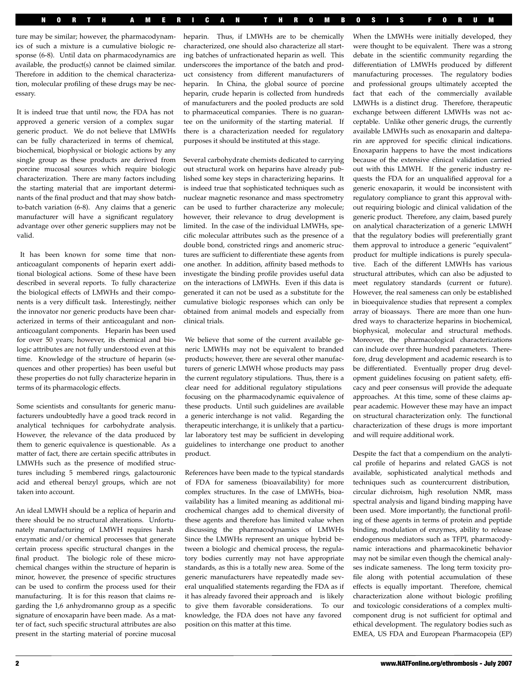ture may be similar; however, the pharmacodynamics of such a mixture is a cumulative biologic response (6-8). Until data on pharmacodynamics are available, the product(s) cannot be claimed similar. Therefore in addition to the chemical characterization, molecular profiling of these drugs may be necessary.

It is indeed true that until now, the FDA has not approved a generic version of a complex sugar generic product. We do not believe that LMWHs can be fully characterized in terms of chemical, biochemical, biophysical or biologic actions by any single group as these products are derived from porcine mucosal sources which require biologic characterization. There are many factors including the starting material that are important determinants of the final product and that may show batchto-batch variation (6-8). Any claims that a generic manufacturer will have a significant regulatory advantage over other generic suppliers may not be valid.

It has been known for some time that nonanticoagulant components of heparin exert additional biological actions. Some of these have been described in several reports. To fully characterize the biological effects of LMWHs and their components is a very difficult task. Interestingly, neither the innovator nor generic products have been characterized in terms of their anticoagulant and nonanticoagulant components. Heparin has been used for over 50 years; however, its chemical and biologic attributes are not fully understood even at this time. Knowledge of the structure of heparin (sequences and other properties) has been useful but these properties do not fully characterize heparin in terms of its pharmacologic effects.

Some scientists and consultants for generic manufacturers undoubtedly have a good track record in analytical techniques for carbohydrate analysis. However, the relevance of the data produced by them to generic equivalence is questionable. As a matter of fact, there are certain specific attributes in LMWHs such as the presence of modified structures including 5 membered rings, galactouronic acid and ethereal benzyl groups, which are not taken into account.

An ideal LMWH should be a replica of heparin and there should be no structural alterations. Unfortunately manufacturing of LMWH requires harsh enzymatic and/or chemical processes that generate certain process specific structural changes in the final product. The biologic role of these microchemical changes within the structure of heparin is minor, however, the presence of specific structures can be used to confirm the process used for their manufacturing. It is for this reason that claims regarding the 1,6 anhydromanno group as a specific signature of enoxaparin have been made. As a matter of fact, such specific structural attributes are also present in the starting material of porcine mucosal

heparin. Thus, if LMWHs are to be chemically characterized, one should also characterize all starting batches of unfractionated heparin as well. This underscores the importance of the batch and product consistency from different manufacturers of heparin. In China, the global source of porcine heparin, crude heparin is collected from hundreds of manufacturers and the pooled products are sold to pharmaceutical companies. There is no guarantee on the uniformity of the starting material. If there is a characterization needed for regulatory purposes it should be instituted at this stage.

Several carbohydrate chemists dedicated to carrying out structural work on heparins have already published some key steps in characterizing heparins. It is indeed true that sophisticated techniques such as nuclear magnetic resonance and mass spectrometry can be used to further characterize any molecule; however, their relevance to drug development is limited. In the case of the individual LMWHs, specific molecular attributes such as the presence of a double bond, constricted rings and anomeric structures are sufficient to differentiate these agents from one another. In addition, affinity based methods to investigate the binding profile provides useful data on the interactions of LMWHs. Even if this data is generated it can not be used as a substitute for the cumulative biologic responses which can only be obtained from animal models and especially from clinical trials.

We believe that some of the current available generic LMWHs may not be equivalent to branded products; however, there are several other manufacturers of generic LMWH whose products may pass the current regulatory stipulations. Thus, there is a clear need for additional regulatory stipulations focusing on the pharmacodynamic equivalence of these products. Until such guidelines are available a generic interchange is not valid. Regarding the therapeutic interchange, it is unlikely that a particular laboratory test may be sufficient in developing guidelines to interchange one product to another product.

References have been made to the typical standards of FDA for sameness (bioavailability) for more complex structures. In the case of LMWHs, bioavailability has a limited meaning as additional microchemical changes add to chemical diversity of these agents and therefore has limited value when discussing the pharmacodynamics of LMWHs Since the LMWHs represent an unique hybrid between a biologic and chemical process, the regulatory bodies currently may not have appropriate standards, as this is a totally new area. Some of the generic manufacturers have repeatedly made several unqualified statements regarding the FDA as if it has already favored their approach and is likely to give them favorable considerations. To our knowledge, the FDA does not have any favored position on this matter at this time.

When the LMWHs were initially developed, they were thought to be equivalent. There was a strong debate in the scientific community regarding the differentiation of LMWHs produced by different manufacturing processes. The regulatory bodies and professional groups ultimately accepted the fact that each of the commercially available LMWHs is a distinct drug. Therefore, therapeutic exchange between different LMWHs was not acceptable. Unlike other generic drugs, the currently available LMWHs such as enoxaparin and dalteparin are approved for specific clinical indications. Enoxaparin happens to have the most indications because of the extensive clinical validation carried out with this LMWH. If the generic industry requests the FDA for an unqualified approval for a generic enoxaparin, it would be inconsistent with regulatory compliance to grant this approval without requiring biologic and clinical validation of the generic product. Therefore, any claim, based purely on analytical characterization of a generic LMWH that the regulatory bodies will preferentially grant them approval to introduce a generic "equivalent" product for multiple indications is purely speculative. Each of the different LMWHs has various structural attributes, which can also be adjusted to meet regulatory standards (current or future). However, the real sameness can only be established in bioequivalence studies that represent a complex array of bioassays. There are more than one hundred ways to characterize heparins in biochemical, biophysical, molecular and structural methods. Moreover, the pharmacological characterizations can include over three hundred parameters. Therefore, drug development and academic research is to be differentiated. Eventually proper drug development guidelines focusing on patient safety, efficacy and peer consensus will provide the adequate approaches. At this time, some of these claims appear academic. However these may have an impact on structural characterization only. The functional characterization of these drugs is more important and will require additional work.

Despite the fact that a compendium on the analytical profile of heparins and related GAGS is not available, sophisticated analytical methods and techniques such as countercurrent distribution, circular dichroism, high resolution NMR, mass spectral analysis and ligand binding mapping have been used. More importantly, the functional profiling of these agents in terms of protein and peptide binding, modulation of enzymes, ability to release endogenous mediators such as TFPI, pharmacodynamic interactions and pharmacokinetic behavior may not be similar even though the chemical analyses indicate sameness. The long term toxicity profile along with potential accumulation of these effects is equally important. Therefore, chemical characterization alone without biologic profiling and toxicologic considerations of a complex multicomponent drug is not sufficient for optimal and ethical development. The regulatory bodies such as EMEA, US FDA and European Pharmacopeia (EP)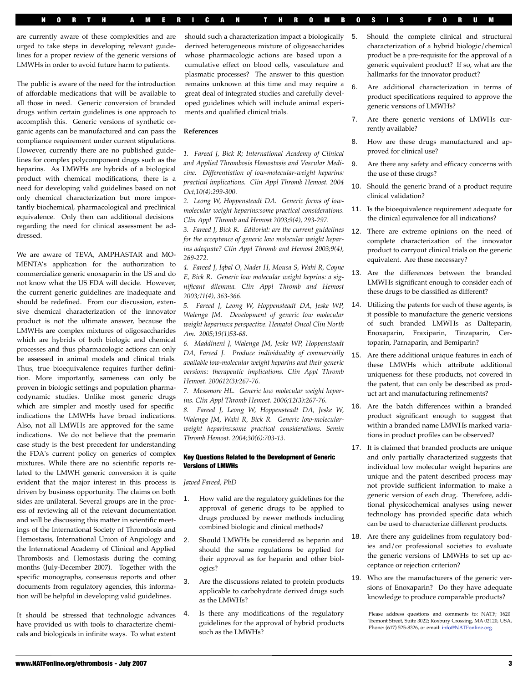are currently aware of these complexities and are urged to take steps in developing relevant guidelines for a proper review of the generic versions of LMWHs in order to avoid future harm to patients.

The public is aware of the need for the introduction of affordable medications that will be available to all those in need. Generic conversion of branded drugs within certain guidelines is one approach to accomplish this. Generic versions of synthetic organic agents can be manufactured and can pass the compliance requirement under current stipulations. However, currently there are no published guidelines for complex polycomponent drugs such as the heparins. As LMWHs are hybrids of a biological product with chemical modifications, there is a need for developing valid guidelines based on not only chemical characterization but more importantly biochemical, pharmacological and preclinical equivalence. Only then can additional decisions regarding the need for clinical assessment be addressed.

We are aware of TEVA, AMPHASTAR and MO-MENTA's application for the authorization to commercialize generic enoxaparin in the US and do not know what the US FDA will decide. However, the current generic guidelines are inadequate and should be redefined. From our discussion, extensive chemical characterization of the innovator product is not the ultimate answer, because the LMWHs are complex mixtures of oligosaccharides which are hybrids of both biologic and chemical processes and thus pharmacologic actions can only be assessed in animal models and clinical trials. Thus, true bioequivalence requires further definition. More importantly, sameness can only be proven in biologic settings and population pharmacodynamic studies. Unlike most generic drugs which are simpler and mostly used for specific indications the LMWHs have broad indications. Also, not all LMWHs are approved for the same indications. We do not believe that the premarin case study is the best precedent for understanding the FDA's current policy on generics of complex mixtures. While there are no scientific reports related to the LMWH generic conversion it is quite evident that the major interest in this process is driven by business opportunity. The claims on both sides are unilateral. Several groups are in the process of reviewing all of the relevant documentation and will be discussing this matter in scientific meetings of the International Society of Thrombosis and Hemostasis, International Union of Angiology and the International Academy of Clinical and Applied Thrombosis and Hemostasis during the coming months (July-December 2007). Together with the specific monographs, consensus reports and other documents from regulatory agencies, this information will be helpful in developing valid guidelines.

It should be stressed that technologic advances have provided us with tools to characterize chemicals and biologicals in infinite ways. To what extent

should such a characterization impact a biologically derived heterogeneous mixture of oligosaccharides whose pharmacologic actions are based upon a cumulative effect on blood cells, vasculature and plasmatic processes? The answer to this question remains unknown at this time and may require a great deal of integrated studies and carefully developed guidelines which will include animal experiments and qualified clinical trials.

NORTH AMERICAN THROMBOSIS FORUM

#### **References**

*1. Fareed J, Bick R; International Academy of Clinical and Applied Thrombosis Hemostasis and Vascular Medicine. Differentiation of low-molecular-weight heparins: practical implications. Clin Appl Thromb Hemost. 2004 Oct;10(4):299-300.*

*2. Leong W, Hoppensteadt DA. Generic forms of lowmolecular weight heparins:some practical considerations. Clin Appl Thromb and Hemost 2003;9(4), 293-297.*

*3. Fareed J, Bick R. Editorial: are the current guidelines for the acceptance of generic low molecular weight heparins adequate? Clin Appl Thromb and Hemost 2003;9(4), 269-272.*

*4. Fareed J, Iqbal O, Nader H, Mousa S, Wahi R, Coyne E, Bick R. Generic low molecular weight heprins: a significant dilemma. Clin Appl Thromb and Hemost 2003;11(4), 363-366.*

*5. Fareed J, Leong W, Hoppensteadt DA, Jeske WP,*  Walenga JM. Development of generic low molecular *weight heparins:a perspective. Hematol Oncol Clin North Am. 2005;19(1)53-68.*

*6. Maddineni J, Walenga JM, Jeske WP, Hoppensteadt DA, Fareed J. Produce individuality of commercially available low-molecular weight heparins and their generic versions: therapeutic implications. Clin Appl Thromb Hemost. 200612(3):267-76.*

*7. Messmore HL. Generic low molecular weight heparins. Clin Appl Thromb Hemost. 2006;12(3):267-76.*

*8. Fareed J, Leong W, Hoppensteadt DA, Jeske W, Walenga JM, Wahi R, Bick R. Generic low-molecularweight heparins:some practical considerations. Semin Thromb Hemost. 2004;30(6):703-13.*

#### Key Questions Related to the Development of Generic Versions of LMWHs

*Jawed Fareed, PhD*

- How valid are the regulatory guidelines for the approval of generic drugs to be applied to drugs produced by newer methods including combined biologic and clinical methods?
- 2. Should LMWHs be considered as heparin and should the same regulations be applied for their approval as for heparin and other biologics?
- 3. Are the discussions related to protein products applicable to carbohydrate derived drugs such as the LMWHs?
- Is there any modifications of the regulatory guidelines for the approval of hybrid products such as the LMWHs?
- 5. Should the complete clinical and structural characterization of a hybrid biologic/chemical product be a pre-requisite for the approval of a generic equivalent product? If so, what are the hallmarks for the innovator product?
- 6. Are additional characterization in terms of product specifications required to approve the generic versions of LMWHs?
- 7. Are there generic versions of LMWHs currently available?
- 8. How are these drugs manufactured and approved for clinical use?
- 9. Are there any safety and efficacy concerns with the use of these drugs?
- 10. Should the generic brand of a product require clinical validation?
- 11. Is the bioequivalence requirement adequate for the clinical equivalence for all indications?
- 12. There are extreme opinions on the need of complete characterization of the innovator product to carryout clinical trials on the generic equivalent. Are these necessary?
- 13. Are the differences between the branded LMWHs significant enough to consider each of these drugs to be classified as different?
- 14. Utilizing the patents for each of these agents, is it possible to manufacture the generic versions of such branded LMWHs as Dalteparin, Enoxaparin, Fraxiparin, Tinzaparin, Certoparin, Parnaparin, and Bemiparin?
- 15. Are there additional unique features in each of these LMWHs which attribute additional uniqueness for these products, not covered in the patent, that can only be described as product art and manufacturing refinements?
- 16. Are the batch differences within a branded product significant enough to suggest that within a branded name LMWHs marked variations in product profiles can be observed?
- 17. It is claimed that branded products are unique and only partially characterized suggests that individual low molecular weight heparins are unique and the patent described process may not provide sufficient information to make a generic version of each drug. Therefore, additional physicochemical analyses using newer technology has provided specific data which can be used to characterize different products.
- 18. Are there any guidelines from regulatory bodies and/or professional societies to evaluate the generic versions of LMWHs to set up acceptance or rejection criterion?
- 19. Who are the manufacturers of the generic versions of Enoxaparin? Do they have adequate knowledge to produce comparable products?

Please address questions and comments to: NATF; 1620 Tremont Street, Suite 3022; Roxbury Crossing, MA 02120, USA, Phone: (617) 525-8326, or email: info@NATFonline.org.